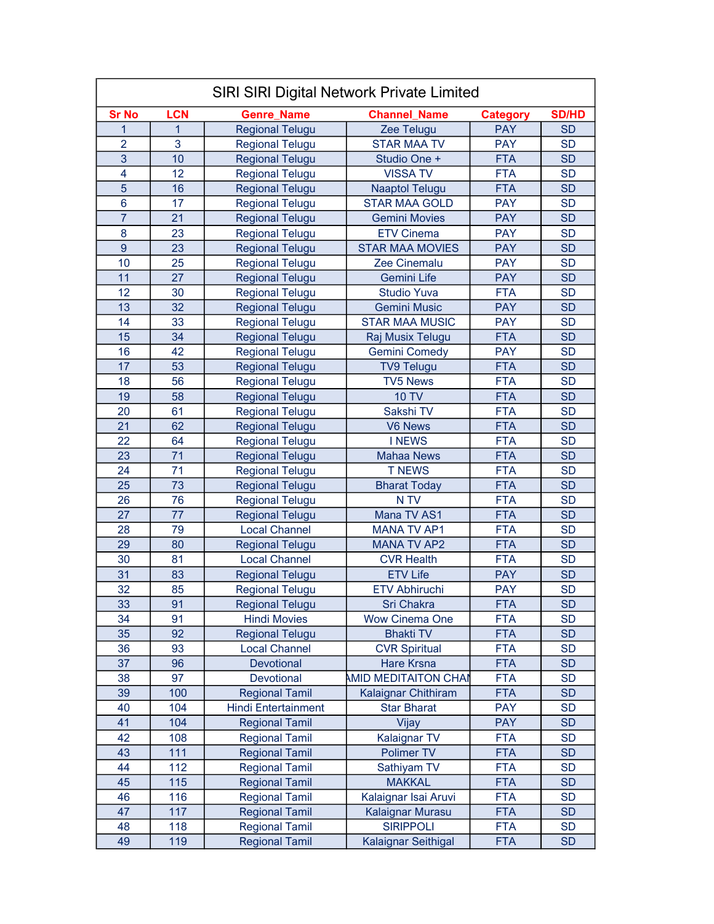| SIRI SIRI Digital Network Private Limited |              |                            |                             |                 |                 |
|-------------------------------------------|--------------|----------------------------|-----------------------------|-----------------|-----------------|
| <b>Sr No</b>                              | <b>LCN</b>   | <b>Genre Name</b>          | <b>Channel_Name</b>         | <b>Category</b> | <b>SD/HD</b>    |
| $\mathbf{1}$                              | $\mathbf{1}$ | <b>Regional Telugu</b>     | Zee Telugu                  | <b>PAY</b>      | <b>SD</b>       |
| $\overline{2}$                            | 3            | <b>Regional Telugu</b>     | <b>STAR MAA TV</b>          | <b>PAY</b>      | <b>SD</b>       |
| $\overline{3}$                            | 10           | <b>Regional Telugu</b>     | Studio One +                | <b>FTA</b>      | <b>SD</b>       |
| 4                                         | 12           | <b>Regional Telugu</b>     | <b>VISSA TV</b>             | <b>FTA</b>      | <b>SD</b>       |
| 5                                         | 16           | <b>Regional Telugu</b>     | <b>Naaptol Telugu</b>       | <b>FTA</b>      | <b>SD</b>       |
| 6                                         | 17           | <b>Regional Telugu</b>     | <b>STAR MAA GOLD</b>        | <b>PAY</b>      | <b>SD</b>       |
| $\overline{7}$                            | 21           | <b>Regional Telugu</b>     | <b>Gemini Movies</b>        | <b>PAY</b>      | <b>SD</b>       |
| 8                                         | 23           | <b>Regional Telugu</b>     | <b>ETV Cinema</b>           | <b>PAY</b>      | <b>SD</b>       |
| $\overline{9}$                            | 23           | <b>Regional Telugu</b>     | <b>STAR MAA MOVIES</b>      | <b>PAY</b>      | <b>SD</b>       |
| 10                                        | 25           | <b>Regional Telugu</b>     | Zee Cinemalu                | <b>PAY</b>      | <b>SD</b>       |
| 11                                        | 27           | <b>Regional Telugu</b>     | Gemini Life                 | <b>PAY</b>      | <b>SD</b>       |
| 12                                        | 30           | <b>Regional Telugu</b>     | <b>Studio Yuva</b>          | <b>FTA</b>      | <b>SD</b>       |
| 13                                        | 32           | <b>Regional Telugu</b>     | <b>Gemini Music</b>         | <b>PAY</b>      | <b>SD</b>       |
| 14                                        | 33           | <b>Regional Telugu</b>     | <b>STAR MAA MUSIC</b>       | <b>PAY</b>      | <b>SD</b>       |
| 15                                        | 34           | <b>Regional Telugu</b>     | Raj Musix Telugu            | <b>FTA</b>      | <b>SD</b>       |
| 16                                        | 42           | <b>Regional Telugu</b>     | <b>Gemini Comedy</b>        | <b>PAY</b>      | <b>SD</b>       |
| 17                                        | 53           | <b>Regional Telugu</b>     | <b>TV9 Telugu</b>           | <b>FTA</b>      | <b>SD</b>       |
| 18                                        | 56           | <b>Regional Telugu</b>     | <b>TV5 News</b>             | <b>FTA</b>      | <b>SD</b>       |
| 19                                        | 58           | <b>Regional Telugu</b>     | <b>10 TV</b>                | <b>FTA</b>      | <b>SD</b>       |
| 20                                        | 61           | <b>Regional Telugu</b>     | Sakshi TV                   | <b>FTA</b>      | <b>SD</b>       |
| 21                                        | 62           | <b>Regional Telugu</b>     | V6 News                     | <b>FTA</b>      | <b>SD</b>       |
| 22                                        | 64           | <b>Regional Telugu</b>     | <b>INEWS</b>                | <b>FTA</b>      | <b>SD</b>       |
| 23                                        | 71           | <b>Regional Telugu</b>     | <b>Mahaa News</b>           | <b>FTA</b>      | <b>SD</b>       |
| 24                                        | 71           | <b>Regional Telugu</b>     | <b>T NEWS</b>               | <b>FTA</b>      | <b>SD</b>       |
| 25                                        | 73           | <b>Regional Telugu</b>     | <b>Bharat Today</b>         | <b>FTA</b>      | <b>SD</b>       |
| 26                                        | 76           | <b>Regional Telugu</b>     | N TV                        | <b>FTA</b>      | <b>SD</b>       |
| 27                                        | 77           | <b>Regional Telugu</b>     | Mana TV AS1                 | <b>FTA</b>      | <b>SD</b>       |
| 28                                        | 79           | <b>Local Channel</b>       | <b>MANA TV AP1</b>          | <b>FTA</b>      | <b>SD</b>       |
| 29                                        | 80           | <b>Regional Telugu</b>     | <b>MANA TV AP2</b>          | <b>FTA</b>      | <b>SD</b>       |
| 30                                        | 81           | <b>Local Channel</b>       | <b>CVR Health</b>           | <b>FTA</b>      | <b>SD</b>       |
| 31                                        | 83           | <b>Regional Telugu</b>     | <b>ETV Life</b>             | <b>PAY</b>      | <b>SD</b>       |
| 32                                        | 85           | <b>Regional Telugu</b>     | <b>ETV Abhiruchi</b>        | <b>PAY</b>      | <b>SD</b>       |
| $\overline{33}$                           | 91           | <b>Regional Telugu</b>     | Sri Chakra                  | <b>FTA</b>      | $\overline{SD}$ |
| 34                                        | 91           | <b>Hindi Movies</b>        | <b>Wow Cinema One</b>       | <b>FTA</b>      | <b>SD</b>       |
| 35                                        | 92           | <b>Regional Telugu</b>     | <b>Bhakti TV</b>            | <b>FTA</b>      | <b>SD</b>       |
| 36                                        | 93           | <b>Local Channel</b>       | <b>CVR Spiritual</b>        | <b>FTA</b>      | <b>SD</b>       |
| 37                                        | 96           | Devotional                 | Hare Krsna                  | <b>FTA</b>      | <b>SD</b>       |
| 38                                        | 97           | Devotional                 | <b>AMID MEDITAITON CHAI</b> | <b>FTA</b>      | <b>SD</b>       |
| 39                                        | 100          | <b>Regional Tamil</b>      | Kalaignar Chithiram         | <b>FTA</b>      | <b>SD</b>       |
| 40                                        | 104          | <b>Hindi Entertainment</b> | <b>Star Bharat</b>          | <b>PAY</b>      | <b>SD</b>       |
| 41                                        | 104          | <b>Regional Tamil</b>      | Vijay                       | <b>PAY</b>      | <b>SD</b>       |
| 42                                        | 108          | <b>Regional Tamil</b>      | Kalaignar TV                | <b>FTA</b>      | <b>SD</b>       |
| 43                                        | 111          | <b>Regional Tamil</b>      | Polimer TV                  | <b>FTA</b>      | <b>SD</b>       |
| 44                                        | 112          | <b>Regional Tamil</b>      | Sathiyam TV                 | <b>FTA</b>      | <b>SD</b>       |
| 45                                        | 115          | <b>Regional Tamil</b>      | <b>MAKKAL</b>               | <b>FTA</b>      | <b>SD</b>       |
| 46                                        | 116          | <b>Regional Tamil</b>      | Kalaignar Isai Aruvi        | <b>FTA</b>      | <b>SD</b>       |
| 47                                        | 117          | <b>Regional Tamil</b>      | Kalaignar Murasu            | <b>FTA</b>      | <b>SD</b>       |
| 48                                        | 118          | <b>Regional Tamil</b>      | <b>SIRIPPOLI</b>            | <b>FTA</b>      | <b>SD</b>       |
| 49                                        | 119          | <b>Regional Tamil</b>      | Kalaignar Seithigal         | <b>FTA</b>      | <b>SD</b>       |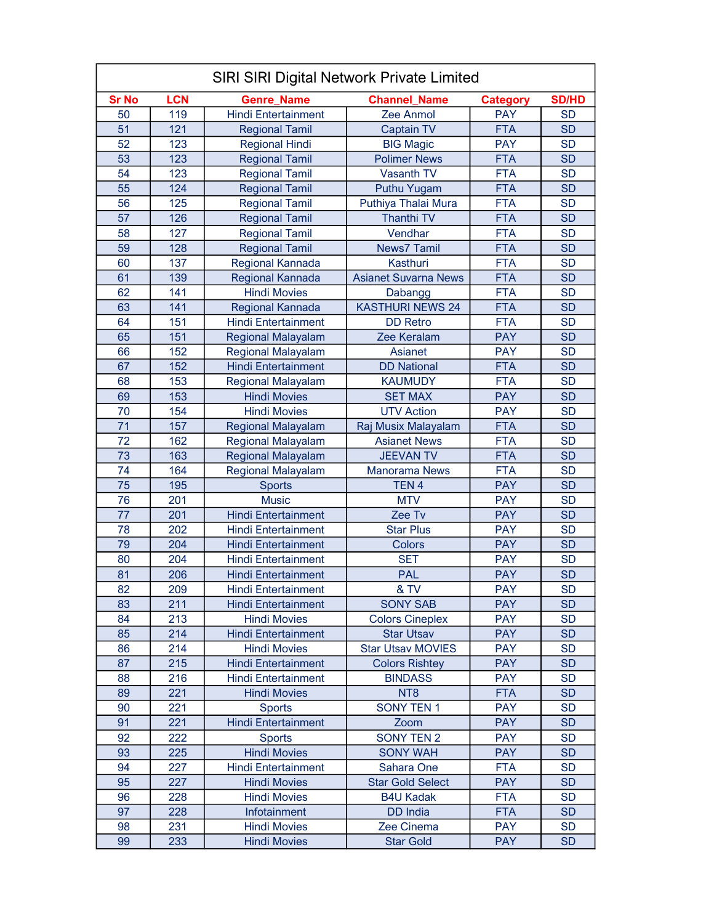| <b>SIRI SIRI Digital Network Private Limited</b> |            |                            |                             |                 |              |
|--------------------------------------------------|------------|----------------------------|-----------------------------|-----------------|--------------|
| <b>Sr No</b>                                     | <b>LCN</b> | <b>Genre Name</b>          | <b>Channel Name</b>         | <b>Category</b> | <b>SD/HD</b> |
| 50                                               | 119        | <b>Hindi Entertainment</b> | Zee Anmol                   | <b>PAY</b>      | <b>SD</b>    |
| 51                                               | 121        | <b>Regional Tamil</b>      | <b>Captain TV</b>           | <b>FTA</b>      | <b>SD</b>    |
| 52                                               | 123        | <b>Regional Hindi</b>      | <b>BIG Magic</b>            | <b>PAY</b>      | <b>SD</b>    |
| 53                                               | 123        | <b>Regional Tamil</b>      | <b>Polimer News</b>         | <b>FTA</b>      | <b>SD</b>    |
| 54                                               | 123        | <b>Regional Tamil</b>      | <b>Vasanth TV</b>           | <b>FTA</b>      | <b>SD</b>    |
| 55                                               | 124        | <b>Regional Tamil</b>      | Puthu Yugam                 | <b>FTA</b>      | <b>SD</b>    |
| 56                                               | 125        | <b>Regional Tamil</b>      | Puthiya Thalai Mura         | <b>FTA</b>      | <b>SD</b>    |
| 57                                               | 126        | <b>Regional Tamil</b>      | <b>Thanthi TV</b>           | <b>FTA</b>      | <b>SD</b>    |
| 58                                               | 127        | <b>Regional Tamil</b>      | Vendhar                     | <b>FTA</b>      | <b>SD</b>    |
| 59                                               | 128        | <b>Regional Tamil</b>      | <b>News7 Tamil</b>          | <b>FTA</b>      | <b>SD</b>    |
| 60                                               | 137        | Regional Kannada           | Kasthuri                    | <b>FTA</b>      | <b>SD</b>    |
| 61                                               | 139        | Regional Kannada           | <b>Asianet Suvarna News</b> | <b>FTA</b>      | <b>SD</b>    |
| 62                                               | 141        | <b>Hindi Movies</b>        | Dabangg                     | <b>FTA</b>      | <b>SD</b>    |
| 63                                               | 141        | <b>Regional Kannada</b>    | <b>KASTHURI NEWS 24</b>     | <b>FTA</b>      | <b>SD</b>    |
| 64                                               | 151        | <b>Hindi Entertainment</b> | <b>DD Retro</b>             | <b>FTA</b>      | <b>SD</b>    |
| 65                                               | 151        | <b>Regional Malayalam</b>  | Zee Keralam                 | <b>PAY</b>      | <b>SD</b>    |
| 66                                               | 152        | Regional Malayalam         | Asianet                     | <b>PAY</b>      | <b>SD</b>    |
| 67                                               | 152        | <b>Hindi Entertainment</b> | <b>DD National</b>          | <b>FTA</b>      | <b>SD</b>    |
| 68                                               | 153        | Regional Malayalam         | <b>KAUMUDY</b>              | <b>FTA</b>      | <b>SD</b>    |
| 69                                               | 153        | <b>Hindi Movies</b>        | <b>SET MAX</b>              | <b>PAY</b>      | <b>SD</b>    |
| 70                                               | 154        | <b>Hindi Movies</b>        | <b>UTV Action</b>           | <b>PAY</b>      | <b>SD</b>    |
| 71                                               | 157        | <b>Regional Malayalam</b>  | Raj Musix Malayalam         | <b>FTA</b>      | <b>SD</b>    |
| 72                                               | 162        | Regional Malayalam         | <b>Asianet News</b>         | <b>FTA</b>      | <b>SD</b>    |
| 73                                               | 163        | <b>Regional Malayalam</b>  | <b>JEEVAN TV</b>            | <b>FTA</b>      | <b>SD</b>    |
| 74                                               | 164        | Regional Malayalam         | <b>Manorama News</b>        | <b>FTA</b>      | <b>SD</b>    |
| 75                                               | 195        | <b>Sports</b>              | TEN <sub>4</sub>            | <b>PAY</b>      | <b>SD</b>    |
| 76                                               | 201        | <b>Music</b>               | <b>MTV</b>                  | <b>PAY</b>      | <b>SD</b>    |
| 77                                               | 201        | <b>Hindi Entertainment</b> | Zee Tv                      | <b>PAY</b>      | <b>SD</b>    |
| 78                                               | 202        | <b>Hindi Entertainment</b> | <b>Star Plus</b>            | <b>PAY</b>      | <b>SD</b>    |
| 79                                               | 204        | <b>Hindi Entertainment</b> | Colors                      | <b>PAY</b>      | <b>SD</b>    |
| 80                                               | 204        | <b>Hindi Entertainment</b> | <b>SET</b>                  | <b>PAY</b>      | <b>SD</b>    |
| 81                                               | 206        | <b>Hindi Entertainment</b> | <b>PAL</b>                  | <b>PAY</b>      | <b>SD</b>    |
| 82                                               | 209        | <b>Hindi Entertainment</b> | & TV                        | <b>PAY</b>      | <b>SD</b>    |
| 83                                               | 211        | <b>Hindi Entertainment</b> | <b>SONY SAB</b>             | <b>PAY</b>      | <b>SD</b>    |
| 84                                               | 213        | <b>Hindi Movies</b>        | <b>Colors Cineplex</b>      | <b>PAY</b>      | <b>SD</b>    |
| 85                                               | 214        | <b>Hindi Entertainment</b> | <b>Star Utsav</b>           | <b>PAY</b>      | <b>SD</b>    |
| 86                                               | 214        | <b>Hindi Movies</b>        | <b>Star Utsav MOVIES</b>    | <b>PAY</b>      | <b>SD</b>    |
| 87                                               | 215        | <b>Hindi Entertainment</b> | <b>Colors Rishtey</b>       | <b>PAY</b>      | <b>SD</b>    |
| 88                                               | 216        | <b>Hindi Entertainment</b> | <b>BINDASS</b>              | <b>PAY</b>      | <b>SD</b>    |
| 89                                               | 221        | <b>Hindi Movies</b>        | NT <sub>8</sub>             | <b>FTA</b>      | <b>SD</b>    |
| 90                                               | 221        | <b>Sports</b>              | <b>SONY TEN 1</b>           | <b>PAY</b>      | <b>SD</b>    |
| 91                                               | 221        | <b>Hindi Entertainment</b> | Zoom                        | <b>PAY</b>      | <b>SD</b>    |
| 92                                               | 222        | <b>Sports</b>              | <b>SONY TEN 2</b>           | <b>PAY</b>      | <b>SD</b>    |
| 93                                               | 225        | <b>Hindi Movies</b>        | <b>SONY WAH</b>             | <b>PAY</b>      | <b>SD</b>    |
| 94                                               | 227        | <b>Hindi Entertainment</b> | Sahara One                  | <b>FTA</b>      | <b>SD</b>    |
| 95                                               | 227        | <b>Hindi Movies</b>        | <b>Star Gold Select</b>     | <b>PAY</b>      | <b>SD</b>    |
| 96                                               | 228        | <b>Hindi Movies</b>        | <b>B4U Kadak</b>            | <b>FTA</b>      | <b>SD</b>    |
| 97                                               | 228        | Infotainment               | DD India                    | <b>FTA</b>      | <b>SD</b>    |
| 98                                               | 231        | <b>Hindi Movies</b>        | Zee Cinema                  | <b>PAY</b>      | <b>SD</b>    |
| 99                                               | 233        | <b>Hindi Movies</b>        | <b>Star Gold</b>            | <b>PAY</b>      | <b>SD</b>    |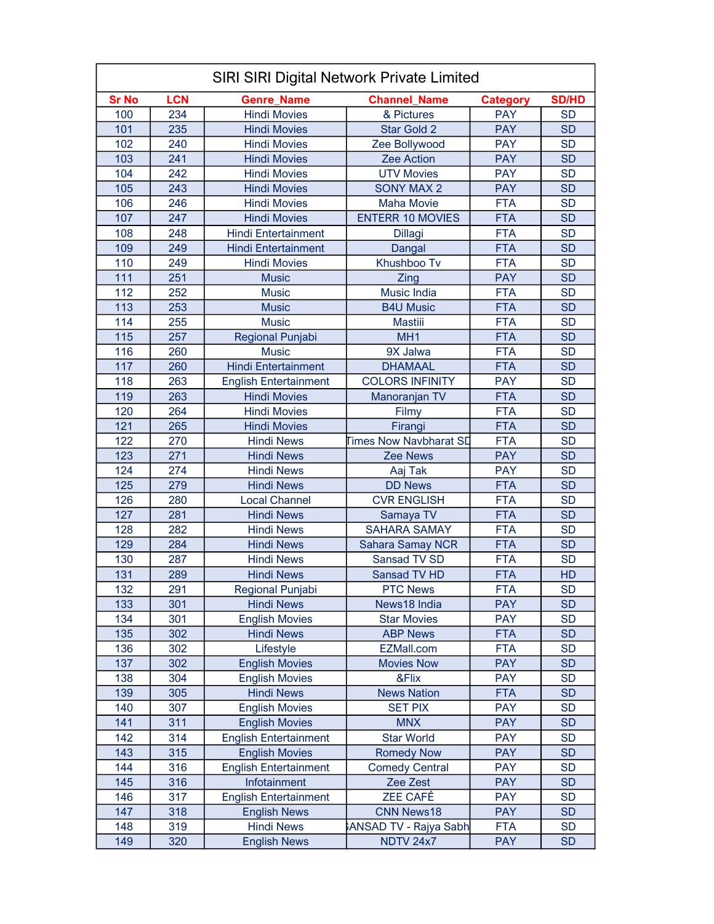|              | <b>SIRI SIRI Digital Network Private Limited</b> |                              |                               |                          |                        |  |  |
|--------------|--------------------------------------------------|------------------------------|-------------------------------|--------------------------|------------------------|--|--|
| <b>Sr No</b> | <b>LCN</b>                                       | <b>Genre_Name</b>            | <b>Channel Name</b>           | <b>Category</b>          | <b>SD/HD</b>           |  |  |
| 100          | 234                                              | <b>Hindi Movies</b>          | & Pictures                    | <b>PAY</b>               | <b>SD</b>              |  |  |
| 101          | 235                                              | <b>Hindi Movies</b>          | Star Gold 2                   | <b>PAY</b>               | <b>SD</b>              |  |  |
| 102          | 240                                              | <b>Hindi Movies</b>          | Zee Bollywood                 | <b>PAY</b>               | <b>SD</b>              |  |  |
| 103          | 241                                              | <b>Hindi Movies</b>          | Zee Action                    | <b>PAY</b>               | <b>SD</b>              |  |  |
| 104          | 242                                              | <b>Hindi Movies</b>          | <b>UTV Movies</b>             | <b>PAY</b>               | <b>SD</b>              |  |  |
| 105          | 243                                              | <b>Hindi Movies</b>          | <b>SONY MAX 2</b>             | <b>PAY</b>               | <b>SD</b>              |  |  |
| 106          | 246                                              | <b>Hindi Movies</b>          | <b>Maha Movie</b>             | <b>FTA</b>               | <b>SD</b>              |  |  |
| 107          | 247                                              | <b>Hindi Movies</b>          | <b>ENTERR 10 MOVIES</b>       | <b>FTA</b>               | <b>SD</b>              |  |  |
| 108          | 248                                              | <b>Hindi Entertainment</b>   | <b>Dillagi</b>                | <b>FTA</b>               | <b>SD</b>              |  |  |
| 109          | 249                                              | <b>Hindi Entertainment</b>   | <b>Dangal</b>                 | <b>FTA</b>               | <b>SD</b>              |  |  |
| 110          | 249                                              | <b>Hindi Movies</b>          | Khushboo Tv                   | <b>FTA</b>               | <b>SD</b>              |  |  |
| 111          | 251                                              | <b>Music</b>                 | Zing                          | <b>PAY</b>               | <b>SD</b>              |  |  |
| 112          | 252                                              | <b>Music</b>                 | <b>Music India</b>            | <b>FTA</b>               | <b>SD</b>              |  |  |
| 113          | 253                                              | <b>Music</b>                 | <b>B4U Music</b>              | <b>FTA</b>               | <b>SD</b>              |  |  |
| 114          | 255                                              | <b>Music</b>                 | <b>Mastiii</b>                | <b>FTA</b>               | <b>SD</b>              |  |  |
| 115          | 257                                              | Regional Punjabi             | MH <sub>1</sub>               | <b>FTA</b>               | <b>SD</b>              |  |  |
| 116          | 260                                              | <b>Music</b>                 | 9X Jalwa                      | <b>FTA</b>               | <b>SD</b>              |  |  |
| 117          | 260                                              | <b>Hindi Entertainment</b>   | <b>DHAMAAL</b>                | <b>FTA</b>               | <b>SD</b>              |  |  |
| 118          | 263                                              | <b>English Entertainment</b> | <b>COLORS INFINITY</b>        | <b>PAY</b>               | <b>SD</b>              |  |  |
| 119          | 263                                              | <b>Hindi Movies</b>          | Manoranjan TV                 | <b>FTA</b>               | <b>SD</b>              |  |  |
| 120          | 264                                              | <b>Hindi Movies</b>          | Filmy                         | <b>FTA</b>               | <b>SD</b>              |  |  |
| 121          | 265                                              | <b>Hindi Movies</b>          | Firangi                       | <b>FTA</b>               | <b>SD</b>              |  |  |
| 122          | 270                                              | <b>Hindi News</b>            | <b>Times Now Navbharat SD</b> | <b>FTA</b>               | <b>SD</b>              |  |  |
| 123          | 271                                              | <b>Hindi News</b>            | <b>Zee News</b>               | <b>PAY</b>               | <b>SD</b>              |  |  |
| 124          | 274                                              | <b>Hindi News</b>            | Aaj Tak                       | <b>PAY</b>               | <b>SD</b>              |  |  |
| 125          | 279                                              | <b>Hindi News</b>            | <b>DD News</b>                | <b>FTA</b>               | <b>SD</b>              |  |  |
| 126          | 280                                              | <b>Local Channel</b>         | <b>CVR ENGLISH</b>            | <b>FTA</b>               | <b>SD</b>              |  |  |
| 127          | 281                                              | <b>Hindi News</b>            | Samaya TV                     | <b>FTA</b>               | <b>SD</b>              |  |  |
| 128          | 282                                              | <b>Hindi News</b>            | <b>SAHARA SAMAY</b>           | <b>FTA</b>               | <b>SD</b>              |  |  |
| 129          | 284                                              | <b>Hindi News</b>            | <b>Sahara Samay NCR</b>       | <b>FTA</b>               | <b>SD</b>              |  |  |
| 130          | 287                                              | <b>Hindi News</b>            | Sansad TV SD                  | <b>FTA</b>               | <b>SD</b>              |  |  |
| 131          | 289                                              | <b>Hindi News</b>            | Sansad TV HD                  | <b>FTA</b>               | HD                     |  |  |
| 132          | 291                                              | Regional Punjabi             | <b>PTC News</b>               | <b>FTA</b>               | SD                     |  |  |
| 133          | 301                                              | <b>Hindi News</b>            | News18 India                  | <b>PAY</b>               | <b>SD</b>              |  |  |
| 134          | 301                                              | <b>English Movies</b>        | <b>Star Movies</b>            | <b>PAY</b>               | <b>SD</b>              |  |  |
| 135          | 302                                              | <b>Hindi News</b>            | <b>ABP News</b>               | <b>FTA</b>               | <b>SD</b>              |  |  |
| 136          | 302                                              | Lifestyle                    | EZMall.com                    | <b>FTA</b>               | <b>SD</b>              |  |  |
| 137          | 302                                              | <b>English Movies</b>        | <b>Movies Now</b>             | <b>PAY</b>               | <b>SD</b>              |  |  |
| 138          | 304                                              | <b>English Movies</b>        | &Flix                         | <b>PAY</b>               | <b>SD</b>              |  |  |
| 139          | 305                                              | <b>Hindi News</b>            | <b>News Nation</b>            | <b>FTA</b>               | <b>SD</b>              |  |  |
| 140          | 307                                              | <b>English Movies</b>        | <b>SET PIX</b>                | <b>PAY</b>               | <b>SD</b>              |  |  |
| 141          | 311                                              | <b>English Movies</b>        | <b>MNX</b>                    | <b>PAY</b>               | <b>SD</b>              |  |  |
|              |                                                  |                              |                               |                          |                        |  |  |
| 142<br>143   | 314<br>315                                       | <b>English Entertainment</b> | <b>Star World</b>             | <b>PAY</b><br><b>PAY</b> | <b>SD</b><br><b>SD</b> |  |  |
|              |                                                  | <b>English Movies</b>        | <b>Romedy Now</b>             | <b>PAY</b>               |                        |  |  |
| 144          | 316                                              | <b>English Entertainment</b> | <b>Comedy Central</b>         |                          | <b>SD</b>              |  |  |
| 145          | 316                                              | Infotainment                 | Zee Zest                      | <b>PAY</b>               | <b>SD</b>              |  |  |
| 146          | 317                                              | <b>English Entertainment</b> | <b>ZEE CAFÉ</b>               | <b>PAY</b>               | <b>SD</b>              |  |  |
| 147          | 318                                              | <b>English News</b>          | <b>CNN News18</b>             | <b>PAY</b>               | <b>SD</b>              |  |  |
| 148          | 319                                              | <b>Hindi News</b>            | ANSAD TV - Rajya Sabh         | <b>FTA</b>               | <b>SD</b>              |  |  |
| 149          | 320                                              | <b>English News</b>          | <b>NDTV 24x7</b>              | <b>PAY</b>               | <b>SD</b>              |  |  |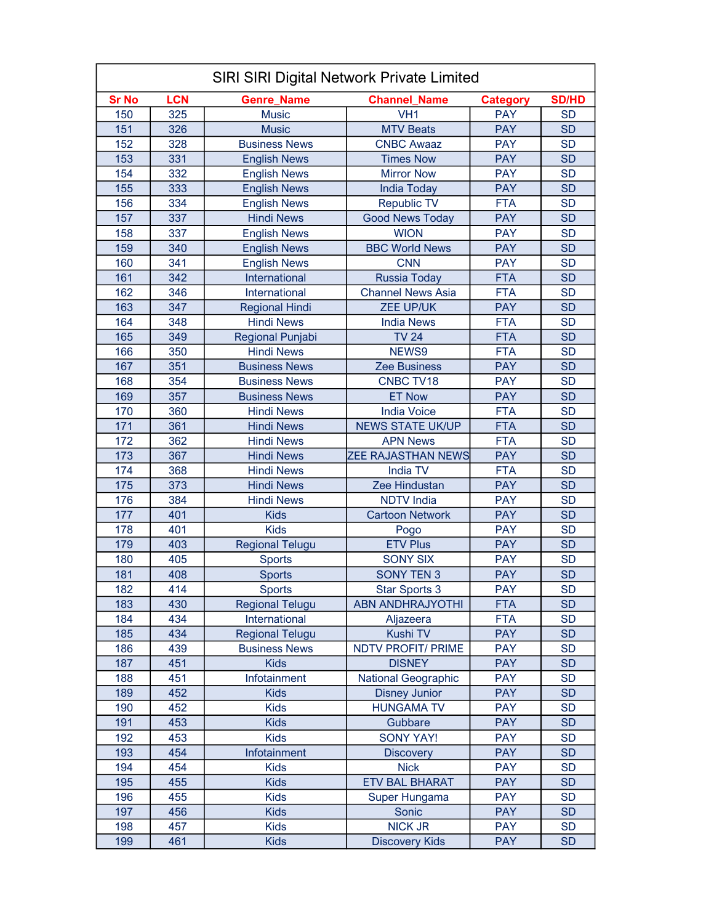|              | <b>SIRI SIRI Digital Network Private Limited</b> |                        |                            |                 |              |  |
|--------------|--------------------------------------------------|------------------------|----------------------------|-----------------|--------------|--|
| <b>Sr No</b> | <b>LCN</b>                                       | <b>Genre_Name</b>      | <b>Channel_Name</b>        | <b>Category</b> | <b>SD/HD</b> |  |
| 150          | 325                                              | <b>Music</b>           | VH <sub>1</sub>            | <b>PAY</b>      | <b>SD</b>    |  |
| 151          | 326                                              | <b>Music</b>           | <b>MTV Beats</b>           | <b>PAY</b>      | <b>SD</b>    |  |
| 152          | 328                                              | <b>Business News</b>   | <b>CNBC Awaaz</b>          | <b>PAY</b>      | <b>SD</b>    |  |
| 153          | 331                                              | <b>English News</b>    | <b>Times Now</b>           | <b>PAY</b>      | <b>SD</b>    |  |
| 154          | 332                                              | <b>English News</b>    | <b>Mirror Now</b>          | <b>PAY</b>      | <b>SD</b>    |  |
| 155          | 333                                              | <b>English News</b>    | <b>India Today</b>         | <b>PAY</b>      | <b>SD</b>    |  |
| 156          | 334                                              | <b>English News</b>    | <b>Republic TV</b>         | <b>FTA</b>      | <b>SD</b>    |  |
| 157          | 337                                              | <b>Hindi News</b>      | <b>Good News Today</b>     | <b>PAY</b>      | <b>SD</b>    |  |
| 158          | 337                                              | <b>English News</b>    | <b>WION</b>                | <b>PAY</b>      | <b>SD</b>    |  |
| 159          | 340                                              | <b>English News</b>    | <b>BBC World News</b>      | <b>PAY</b>      | <b>SD</b>    |  |
| 160          | 341                                              | <b>English News</b>    | <b>CNN</b>                 | <b>PAY</b>      | <b>SD</b>    |  |
| 161          | 342                                              | International          | <b>Russia Today</b>        | <b>FTA</b>      | <b>SD</b>    |  |
| 162          | 346                                              | International          | <b>Channel News Asia</b>   | <b>FTA</b>      | <b>SD</b>    |  |
| 163          | 347                                              | <b>Regional Hindi</b>  | <b>ZEE UP/UK</b>           | <b>PAY</b>      | <b>SD</b>    |  |
| 164          | 348                                              | <b>Hindi News</b>      | <b>India News</b>          | <b>FTA</b>      | <b>SD</b>    |  |
| 165          | 349                                              | Regional Punjabi       | <b>TV 24</b>               | <b>FTA</b>      | <b>SD</b>    |  |
| 166          | 350                                              | <b>Hindi News</b>      | NEWS9                      | <b>FTA</b>      | <b>SD</b>    |  |
| 167          | 351                                              | <b>Business News</b>   | <b>Zee Business</b>        | <b>PAY</b>      | <b>SD</b>    |  |
| 168          | 354                                              | <b>Business News</b>   | CNBC TV18                  | <b>PAY</b>      | <b>SD</b>    |  |
| 169          | 357                                              | <b>Business News</b>   | <b>ET Now</b>              | <b>PAY</b>      | <b>SD</b>    |  |
| 170          | 360                                              | <b>Hindi News</b>      | <b>India Voice</b>         | <b>FTA</b>      | <b>SD</b>    |  |
| 171          | 361                                              | <b>Hindi News</b>      | <b>NEWS STATE UK/UP</b>    | <b>FTA</b>      | <b>SD</b>    |  |
| 172          | 362                                              | <b>Hindi News</b>      | <b>APN News</b>            | <b>FTA</b>      | <b>SD</b>    |  |
| 173          | 367                                              | <b>Hindi News</b>      | <b>ZEE RAJASTHAN NEWS</b>  | <b>PAY</b>      | <b>SD</b>    |  |
| 174          | 368                                              | <b>Hindi News</b>      | <b>India TV</b>            | <b>FTA</b>      | <b>SD</b>    |  |
| 175          | 373                                              | <b>Hindi News</b>      | Zee Hindustan              | <b>PAY</b>      | <b>SD</b>    |  |
| 176          | 384                                              | <b>Hindi News</b>      | <b>NDTV</b> India          | <b>PAY</b>      | <b>SD</b>    |  |
| 177          | 401                                              | <b>Kids</b>            | <b>Cartoon Network</b>     | <b>PAY</b>      | <b>SD</b>    |  |
| 178          | 401                                              | <b>Kids</b>            | Pogo                       | <b>PAY</b>      | <b>SD</b>    |  |
| 179          | 403                                              | <b>Regional Telugu</b> | <b>ETV Plus</b>            | <b>PAY</b>      | <b>SD</b>    |  |
| 180          | 405                                              | <b>Sports</b>          | <b>SONY SIX</b>            | <b>PAY</b>      | <b>SD</b>    |  |
| 181          | 408                                              | <b>Sports</b>          | <b>SONY TEN 3</b>          | <b>PAY</b>      | <b>SD</b>    |  |
| 182          | 414                                              | Sports                 | Star Sports 3              | PAY             | SD           |  |
| 183          | 430                                              | <b>Regional Telugu</b> | <b>ABN ANDHRAJYOTHI</b>    | <b>FTA</b>      | <b>SD</b>    |  |
| 184          | 434                                              | International          | Aljazeera                  | <b>FTA</b>      | <b>SD</b>    |  |
| 185          | 434                                              | <b>Regional Telugu</b> | Kushi TV                   | <b>PAY</b>      | <b>SD</b>    |  |
| 186          | 439                                              | <b>Business News</b>   | <b>NDTV PROFIT/ PRIME</b>  | <b>PAY</b>      | <b>SD</b>    |  |
| 187          | 451                                              | <b>Kids</b>            | <b>DISNEY</b>              | <b>PAY</b>      | <b>SD</b>    |  |
| 188          | 451                                              | Infotainment           | <b>National Geographic</b> | <b>PAY</b>      | <b>SD</b>    |  |
| 189          | 452                                              | <b>Kids</b>            | <b>Disney Junior</b>       | <b>PAY</b>      | <b>SD</b>    |  |
| 190          | 452                                              | <b>Kids</b>            | <b>HUNGAMA TV</b>          | <b>PAY</b>      | <b>SD</b>    |  |
| 191          | 453                                              | <b>Kids</b>            | Gubbare                    | <b>PAY</b>      | <b>SD</b>    |  |
| 192          | 453                                              | <b>Kids</b>            | <b>SONY YAY!</b>           | <b>PAY</b>      | <b>SD</b>    |  |
| 193          | 454                                              | Infotainment           | <b>Discovery</b>           | <b>PAY</b>      | <b>SD</b>    |  |
| 194          | 454                                              | <b>Kids</b>            | <b>Nick</b>                | <b>PAY</b>      | <b>SD</b>    |  |
| 195          | 455                                              | <b>Kids</b>            | <b>ETV BAL BHARAT</b>      | <b>PAY</b>      | <b>SD</b>    |  |
| 196          | 455                                              | <b>Kids</b>            | Super Hungama              | <b>PAY</b>      | <b>SD</b>    |  |
| 197          | 456                                              | <b>Kids</b>            | Sonic                      | <b>PAY</b>      | <b>SD</b>    |  |
| 198          | 457                                              | <b>Kids</b>            | <b>NICK JR</b>             | <b>PAY</b>      | <b>SD</b>    |  |
| 199          | 461                                              | <b>Kids</b>            | <b>Discovery Kids</b>      | <b>PAY</b>      | <b>SD</b>    |  |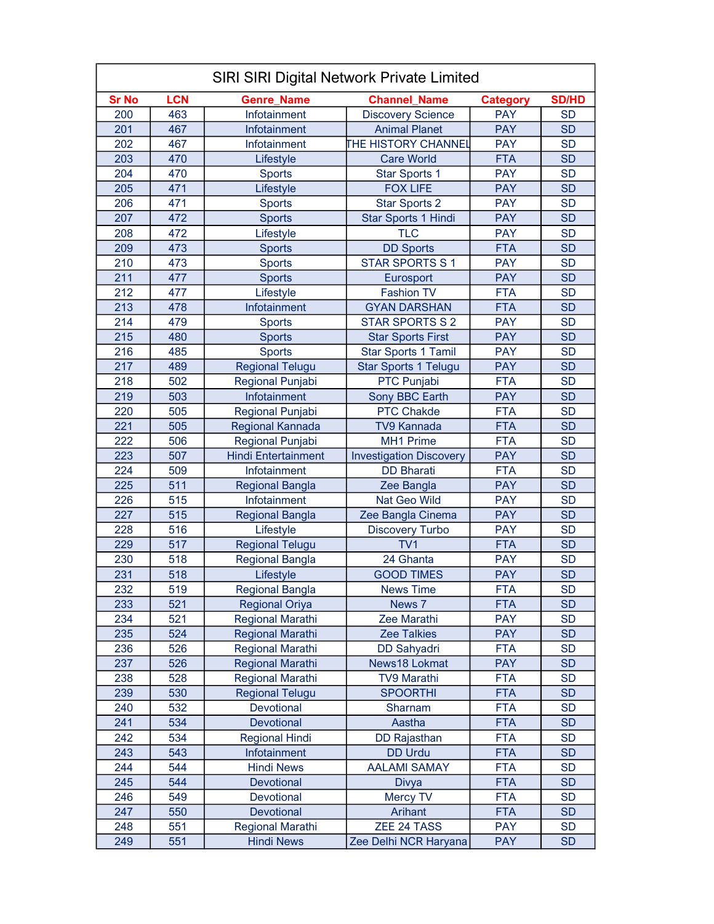| SIRI SIRI Digital Network Private Limited |            |                            |                                |                 |              |
|-------------------------------------------|------------|----------------------------|--------------------------------|-----------------|--------------|
| <b>Sr No</b>                              | <b>LCN</b> | <b>Genre Name</b>          | <b>Channel Name</b>            | <b>Category</b> | <b>SD/HD</b> |
| 200                                       | 463        | Infotainment               | <b>Discovery Science</b>       | <b>PAY</b>      | <b>SD</b>    |
| 201                                       | 467        | Infotainment               | <b>Animal Planet</b>           | <b>PAY</b>      | <b>SD</b>    |
| 202                                       | 467        | Infotainment               | THE HISTORY CHANNEL            | <b>PAY</b>      | <b>SD</b>    |
| 203                                       | 470        | Lifestyle                  | <b>Care World</b>              | <b>FTA</b>      | <b>SD</b>    |
| 204                                       | 470        | <b>Sports</b>              | <b>Star Sports 1</b>           | <b>PAY</b>      | <b>SD</b>    |
| 205                                       | 471        | Lifestyle                  | <b>FOX LIFE</b>                | <b>PAY</b>      | <b>SD</b>    |
| 206                                       | 471        | <b>Sports</b>              | <b>Star Sports 2</b>           | <b>PAY</b>      | <b>SD</b>    |
| 207                                       | 472        | <b>Sports</b>              | Star Sports 1 Hindi            | <b>PAY</b>      | <b>SD</b>    |
| 208                                       | 472        | Lifestyle                  | <b>TLC</b>                     | <b>PAY</b>      | <b>SD</b>    |
| 209                                       | 473        | <b>Sports</b>              | <b>DD Sports</b>               | <b>FTA</b>      | <b>SD</b>    |
| 210                                       | 473        | <b>Sports</b>              | <b>STAR SPORTS S1</b>          | <b>PAY</b>      | <b>SD</b>    |
| 211                                       | 477        | <b>Sports</b>              | Eurosport                      | <b>PAY</b>      | <b>SD</b>    |
| 212                                       | 477        | Lifestyle                  | <b>Fashion TV</b>              | <b>FTA</b>      | <b>SD</b>    |
| 213                                       | 478        | Infotainment               | <b>GYAN DARSHAN</b>            | <b>FTA</b>      | <b>SD</b>    |
| 214                                       | 479        | <b>Sports</b>              | <b>STAR SPORTS S 2</b>         | <b>PAY</b>      | <b>SD</b>    |
| 215                                       | 480        | <b>Sports</b>              | <b>Star Sports First</b>       | <b>PAY</b>      | <b>SD</b>    |
| 216                                       | 485        | <b>Sports</b>              | <b>Star Sports 1 Tamil</b>     | <b>PAY</b>      | <b>SD</b>    |
| 217                                       | 489        | <b>Regional Telugu</b>     | <b>Star Sports 1 Telugu</b>    | <b>PAY</b>      | <b>SD</b>    |
| 218                                       | 502        | Regional Punjabi           | PTC Punjabi                    | <b>FTA</b>      | <b>SD</b>    |
| 219                                       | 503        | Infotainment               | Sony BBC Earth                 | <b>PAY</b>      | <b>SD</b>    |
| 220                                       | 505        | Regional Punjabi           | <b>PTC Chakde</b>              | <b>FTA</b>      | <b>SD</b>    |
| 221                                       | 505        | Regional Kannada           | <b>TV9 Kannada</b>             | <b>FTA</b>      | <b>SD</b>    |
| 222                                       | 506        | Regional Punjabi           | <b>MH1 Prime</b>               | <b>FTA</b>      | <b>SD</b>    |
| 223                                       | 507        | <b>Hindi Entertainment</b> | <b>Investigation Discovery</b> | <b>PAY</b>      | <b>SD</b>    |
| 224                                       | 509        | Infotainment               | <b>DD Bharati</b>              | <b>FTA</b>      | <b>SD</b>    |
| 225                                       | 511        | <b>Regional Bangla</b>     | Zee Bangla                     | <b>PAY</b>      | <b>SD</b>    |
| 226                                       | 515        | Infotainment               | Nat Geo Wild                   | <b>PAY</b>      | <b>SD</b>    |
| 227                                       | 515        | <b>Regional Bangla</b>     | Zee Bangla Cinema              | <b>PAY</b>      | <b>SD</b>    |
| 228                                       | 516        | Lifestyle                  | <b>Discovery Turbo</b>         | <b>PAY</b>      | <b>SD</b>    |
| 229                                       | 517        | <b>Regional Telugu</b>     | TV <sub>1</sub>                | <b>FTA</b>      | <b>SD</b>    |
| 230                                       | 518        | <b>Regional Bangla</b>     | 24 Ghanta                      | <b>PAY</b>      | <b>SD</b>    |
| 231                                       | 518        | Lifestyle                  | <b>GOOD TIMES</b>              | <b>PAY</b>      | <b>SD</b>    |
| 232                                       | 519        | <b>Regional Bangla</b>     | <b>News Time</b>               | <b>FTA</b>      | <b>SD</b>    |
| 233                                       | 521        | <b>Regional Oriya</b>      | News 7                         | <b>FTA</b>      | <b>SD</b>    |
| 234                                       | 521        | <b>Regional Marathi</b>    | Zee Marathi                    | <b>PAY</b>      | <b>SD</b>    |
| 235                                       | 524        | <b>Regional Marathi</b>    | <b>Zee Talkies</b>             | <b>PAY</b>      | <b>SD</b>    |
| 236                                       | 526        | <b>Regional Marathi</b>    | <b>DD Sahyadri</b>             | <b>FTA</b>      | <b>SD</b>    |
| 237                                       | 526        | <b>Regional Marathi</b>    | News18 Lokmat                  | <b>PAY</b>      | <b>SD</b>    |
| 238                                       | 528        | Regional Marathi           | <b>TV9 Marathi</b>             | <b>FTA</b>      | <b>SD</b>    |
| 239                                       | 530        | <b>Regional Telugu</b>     | <b>SPOORTHI</b>                | <b>FTA</b>      | <b>SD</b>    |
| 240                                       | 532        | Devotional                 | Sharnam                        | <b>FTA</b>      | <b>SD</b>    |
| 241                                       | 534        | Devotional                 | Aastha                         | <b>FTA</b>      | <b>SD</b>    |
| 242                                       | 534        | <b>Regional Hindi</b>      | DD Rajasthan                   | <b>FTA</b>      | <b>SD</b>    |
| 243                                       | 543        | Infotainment               | <b>DD Urdu</b>                 | <b>FTA</b>      | <b>SD</b>    |
| 244                                       | 544        | <b>Hindi News</b>          | <b>AALAMI SAMAY</b>            | <b>FTA</b>      | <b>SD</b>    |
| 245                                       | 544        | Devotional                 | Divya                          | <b>FTA</b>      | <b>SD</b>    |
| 246                                       | 549        | Devotional                 | Mercy TV                       | <b>FTA</b>      | <b>SD</b>    |
| 247                                       | 550        | Devotional                 | Arihant                        | <b>FTA</b>      | <b>SD</b>    |
| 248                                       | 551        | <b>Regional Marathi</b>    | ZEE 24 TASS                    | <b>PAY</b>      | <b>SD</b>    |
| 249                                       | 551        | <b>Hindi News</b>          | Zee Delhi NCR Haryana          | <b>PAY</b>      | <b>SD</b>    |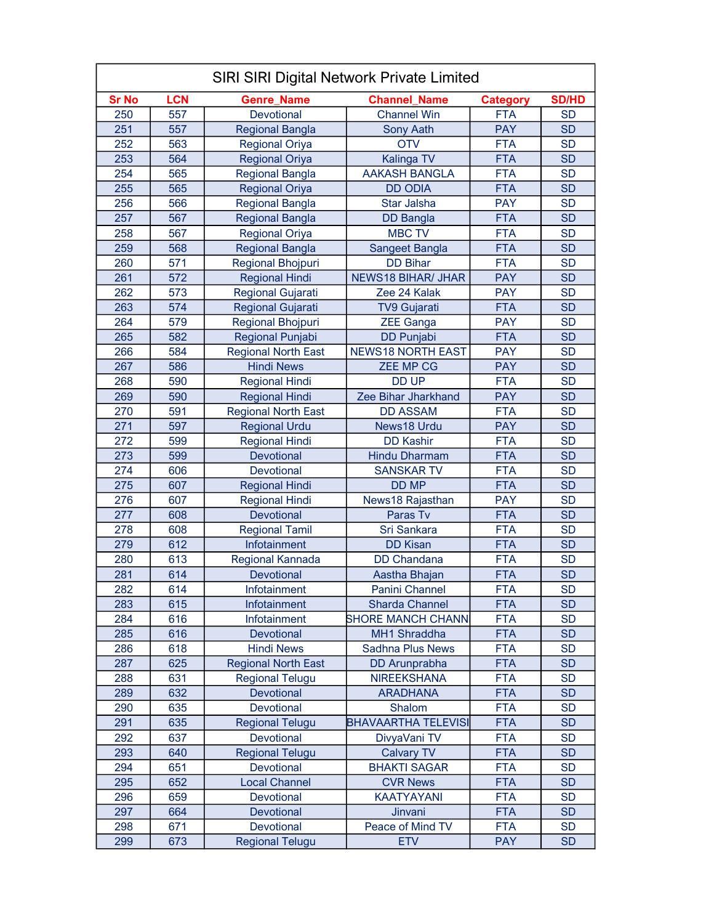|              | <b>SIRI SIRI Digital Network Private Limited</b> |                            |                            |                 |              |  |
|--------------|--------------------------------------------------|----------------------------|----------------------------|-----------------|--------------|--|
| <b>Sr No</b> | <b>LCN</b>                                       | <b>Genre_Name</b>          | <b>Channel_Name</b>        | <b>Category</b> | <b>SD/HD</b> |  |
| 250          | 557                                              | Devotional                 | <b>Channel Win</b>         | <b>FTA</b>      | <b>SD</b>    |  |
| 251          | 557                                              | <b>Regional Bangla</b>     | <b>Sony Aath</b>           | <b>PAY</b>      | <b>SD</b>    |  |
| 252          | 563                                              | <b>Regional Oriya</b>      | <b>OTV</b>                 | <b>FTA</b>      | <b>SD</b>    |  |
| 253          | 564                                              | <b>Regional Oriya</b>      | Kalinga TV                 | <b>FTA</b>      | <b>SD</b>    |  |
| 254          | 565                                              | <b>Regional Bangla</b>     | <b>AAKASH BANGLA</b>       | <b>FTA</b>      | <b>SD</b>    |  |
| 255          | 565                                              | <b>Regional Oriya</b>      | <b>DD ODIA</b>             | <b>FTA</b>      | <b>SD</b>    |  |
| 256          | 566                                              | <b>Regional Bangla</b>     | <b>Star Jalsha</b>         | <b>PAY</b>      | <b>SD</b>    |  |
| 257          | 567                                              | <b>Regional Bangla</b>     | <b>DD</b> Bangla           | <b>FTA</b>      | <b>SD</b>    |  |
| 258          | 567                                              | <b>Regional Oriya</b>      | <b>MBC TV</b>              | <b>FTA</b>      | <b>SD</b>    |  |
| 259          | 568                                              | <b>Regional Bangla</b>     | Sangeet Bangla             | <b>FTA</b>      | <b>SD</b>    |  |
| 260          | 571                                              | Regional Bhojpuri          | <b>DD Bihar</b>            | <b>FTA</b>      | <b>SD</b>    |  |
| 261          | 572                                              | <b>Regional Hindi</b>      | <b>NEWS18 BIHAR/ JHAR</b>  | <b>PAY</b>      | <b>SD</b>    |  |
| 262          | 573                                              | Regional Gujarati          | Zee 24 Kalak               | <b>PAY</b>      | <b>SD</b>    |  |
| 263          | 574                                              | Regional Gujarati          | <b>TV9 Gujarati</b>        | <b>FTA</b>      | <b>SD</b>    |  |
| 264          | 579                                              | <b>Regional Bhojpuri</b>   | <b>ZEE Ganga</b>           | <b>PAY</b>      | <b>SD</b>    |  |
| 265          | 582                                              | Regional Punjabi           | <b>DD Punjabi</b>          | <b>FTA</b>      | <b>SD</b>    |  |
| 266          | 584                                              | <b>Regional North East</b> | <b>NEWS18 NORTH EAST</b>   | <b>PAY</b>      | <b>SD</b>    |  |
| 267          | 586                                              | <b>Hindi News</b>          | <b>ZEE MP CG</b>           | <b>PAY</b>      | <b>SD</b>    |  |
| 268          | 590                                              | <b>Regional Hindi</b>      | <b>DD UP</b>               | <b>FTA</b>      | <b>SD</b>    |  |
| 269          | 590                                              | <b>Regional Hindi</b>      | Zee Bihar Jharkhand        | <b>PAY</b>      | <b>SD</b>    |  |
| 270          | 591                                              | <b>Regional North East</b> | <b>DD ASSAM</b>            | <b>FTA</b>      | <b>SD</b>    |  |
| 271          | 597                                              | <b>Regional Urdu</b>       | News18 Urdu                | <b>PAY</b>      | <b>SD</b>    |  |
| 272          | 599                                              | <b>Regional Hindi</b>      | <b>DD Kashir</b>           | <b>FTA</b>      | <b>SD</b>    |  |
| 273          | 599                                              | Devotional                 | <b>Hindu Dharmam</b>       | <b>FTA</b>      | <b>SD</b>    |  |
| 274          | 606                                              | Devotional                 | <b>SANSKAR TV</b>          | <b>FTA</b>      | <b>SD</b>    |  |
| 275          | 607                                              | <b>Regional Hindi</b>      | <b>DD MP</b>               | <b>FTA</b>      | <b>SD</b>    |  |
| 276          | 607                                              | <b>Regional Hindi</b>      | News18 Rajasthan           | <b>PAY</b>      | <b>SD</b>    |  |
| 277          | 608                                              | Devotional                 | Paras Tv                   | <b>FTA</b>      | <b>SD</b>    |  |
| 278          | 608                                              | <b>Regional Tamil</b>      | Sri Sankara                | <b>FTA</b>      | <b>SD</b>    |  |
| 279          | 612                                              | Infotainment               | <b>DD Kisan</b>            | <b>FTA</b>      | <b>SD</b>    |  |
| 280          | 613                                              | Regional Kannada           | <b>DD</b> Chandana         | <b>FTA</b>      | <b>SD</b>    |  |
| 281          | 614                                              | Devotional                 | Aastha Bhajan              | <b>FTA</b>      | <b>SD</b>    |  |
| 282          | 614                                              | Infotainment               | Panini Channel             | FTA             | SD           |  |
| 283          | 615                                              | Infotainment               | <b>Sharda Channel</b>      | <b>FTA</b>      | <b>SD</b>    |  |
| 284          | 616                                              | Infotainment               | <b>SHORE MANCH CHANN</b>   | <b>FTA</b>      | <b>SD</b>    |  |
| 285          | 616                                              | Devotional                 | <b>MH1 Shraddha</b>        | <b>FTA</b>      | <b>SD</b>    |  |
| 286          | 618                                              | <b>Hindi News</b>          | <b>Sadhna Plus News</b>    | <b>FTA</b>      | <b>SD</b>    |  |
| 287          | 625                                              | <b>Regional North East</b> | <b>DD</b> Arunprabha       | <b>FTA</b>      | <b>SD</b>    |  |
| 288          | 631                                              | <b>Regional Telugu</b>     | <b>NIREEKSHANA</b>         | <b>FTA</b>      | <b>SD</b>    |  |
| 289          | 632                                              | Devotional                 | <b>ARADHANA</b>            | <b>FTA</b>      | <b>SD</b>    |  |
| 290          | 635                                              | Devotional                 | Shalom                     | <b>FTA</b>      | <b>SD</b>    |  |
| 291          | 635                                              | <b>Regional Telugu</b>     | <b>BHAVAARTHA TELEVISI</b> | <b>FTA</b>      | <b>SD</b>    |  |
| 292          | 637                                              | Devotional                 | DivyaVani TV               | <b>FTA</b>      | <b>SD</b>    |  |
| 293          | 640                                              | <b>Regional Telugu</b>     | <b>Calvary TV</b>          | <b>FTA</b>      | <b>SD</b>    |  |
| 294          | 651                                              | Devotional                 | <b>BHAKTI SAGAR</b>        | <b>FTA</b>      | <b>SD</b>    |  |
| 295          | 652                                              | <b>Local Channel</b>       | <b>CVR News</b>            | <b>FTA</b>      | <b>SD</b>    |  |
| 296          | 659                                              | Devotional                 | <b>KAATYAYANI</b>          | <b>FTA</b>      | <b>SD</b>    |  |
| 297          | 664                                              | Devotional                 | Jinvani                    | <b>FTA</b>      | <b>SD</b>    |  |
| 298          | 671                                              | Devotional                 | Peace of Mind TV           | <b>FTA</b>      | <b>SD</b>    |  |
| 299          | 673                                              | <b>Regional Telugu</b>     | <b>ETV</b>                 | <b>PAY</b>      | <b>SD</b>    |  |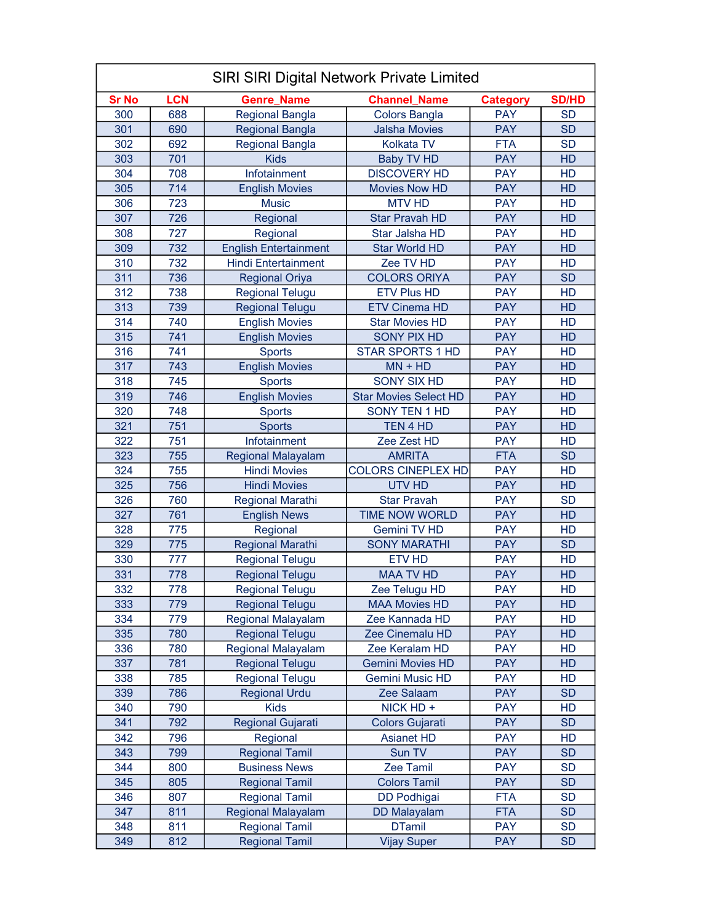|              | <b>SIRI SIRI Digital Network Private Limited</b> |                              |                              |                 |                 |  |
|--------------|--------------------------------------------------|------------------------------|------------------------------|-----------------|-----------------|--|
| <b>Sr No</b> | <b>LCN</b>                                       | <b>Genre_Name</b>            | <b>Channel Name</b>          | <b>Category</b> | <b>SD/HD</b>    |  |
| 300          | 688                                              | <b>Regional Bangla</b>       | <b>Colors Bangla</b>         | <b>PAY</b>      | <b>SD</b>       |  |
| 301          | 690                                              | <b>Regional Bangla</b>       | <b>Jalsha Movies</b>         | <b>PAY</b>      | <b>SD</b>       |  |
| 302          | 692                                              | <b>Regional Bangla</b>       | Kolkata TV                   | <b>FTA</b>      | <b>SD</b>       |  |
| 303          | 701                                              | <b>Kids</b>                  | <b>Baby TV HD</b>            | <b>PAY</b>      | <b>HD</b>       |  |
| 304          | 708                                              | Infotainment                 | <b>DISCOVERY HD</b>          | <b>PAY</b>      | HD              |  |
| 305          | 714                                              | <b>English Movies</b>        | <b>Movies Now HD</b>         | <b>PAY</b>      | HD              |  |
| 306          | 723                                              | <b>Music</b>                 | <b>MTV HD</b>                | <b>PAY</b>      | HD              |  |
| 307          | 726                                              | Regional                     | <b>Star Pravah HD</b>        | <b>PAY</b>      | <b>HD</b>       |  |
| 308          | 727                                              | Regional                     | Star Jalsha HD               | <b>PAY</b>      | HD              |  |
| 309          | 732                                              | <b>English Entertainment</b> | <b>Star World HD</b>         | <b>PAY</b>      | HD              |  |
| 310          | 732                                              | <b>Hindi Entertainment</b>   | Zee TV HD                    | <b>PAY</b>      | HD              |  |
| 311          | 736                                              | <b>Regional Oriya</b>        | <b>COLORS ORIYA</b>          | <b>PAY</b>      | <b>SD</b>       |  |
| 312          | 738                                              | <b>Regional Telugu</b>       | <b>ETV Plus HD</b>           | <b>PAY</b>      | HD              |  |
| 313          | 739                                              | <b>Regional Telugu</b>       | <b>ETV Cinema HD</b>         | <b>PAY</b>      | HD              |  |
| 314          | 740                                              | <b>English Movies</b>        | <b>Star Movies HD</b>        | <b>PAY</b>      | <b>HD</b>       |  |
| 315          | 741                                              | <b>English Movies</b>        | <b>SONY PIX HD</b>           | <b>PAY</b>      | HD              |  |
| 316          | 741                                              | <b>Sports</b>                | <b>STAR SPORTS 1 HD</b>      | <b>PAY</b>      | HD              |  |
| 317          | 743                                              | <b>English Movies</b>        | $MN + HD$                    | <b>PAY</b>      | HD              |  |
| 318          | 745                                              | <b>Sports</b>                | <b>SONY SIX HD</b>           | <b>PAY</b>      | HD              |  |
| 319          | 746                                              | <b>English Movies</b>        | <b>Star Movies Select HD</b> | <b>PAY</b>      | HD              |  |
| 320          | 748                                              | <b>Sports</b>                | SONY TEN 1 HD                | <b>PAY</b>      | HD              |  |
| 321          | 751                                              | <b>Sports</b>                | TEN 4 HD                     | <b>PAY</b>      | HD              |  |
| 322          | 751                                              | Infotainment                 | Zee Zest HD                  | <b>PAY</b>      | HD              |  |
| 323          | 755                                              | <b>Regional Malayalam</b>    | <b>AMRITA</b>                | <b>FTA</b>      | <b>SD</b>       |  |
| 324          | 755                                              | <b>Hindi Movies</b>          | <b>COLORS CINEPLEX HD</b>    | <b>PAY</b>      | HD              |  |
| 325          | 756                                              | <b>Hindi Movies</b>          | <b>UTV HD</b>                | <b>PAY</b>      | HD              |  |
| 326          | 760                                              | <b>Regional Marathi</b>      | <b>Star Pravah</b>           | <b>PAY</b>      | <b>SD</b>       |  |
| 327          | 761                                              | <b>English News</b>          | <b>TIME NOW WORLD</b>        | <b>PAY</b>      | HD              |  |
| 328          | 775                                              | Regional                     | <b>Gemini TV HD</b>          | <b>PAY</b>      | HD              |  |
| 329          | 775                                              | <b>Regional Marathi</b>      | <b>SONY MARATHI</b>          | <b>PAY</b>      | <b>SD</b>       |  |
| 330          | 777                                              | <b>Regional Telugu</b>       | <b>ETV HD</b>                | <b>PAY</b>      | HD              |  |
| 331          | 778                                              | <b>Regional Telugu</b>       | <b>MAA TV HD</b>             | <b>PAY</b>      | HD              |  |
| 332          | 778                                              | <b>Regional Telugu</b>       | Zee Telugu HD                | PAY             | HD              |  |
| 333          | 779                                              | <b>Regional Telugu</b>       | <b>MAA Movies HD</b>         | <b>PAY</b>      | HD              |  |
| 334          | 779                                              | Regional Malayalam           | Zee Kannada HD               | <b>PAY</b>      | HD              |  |
| 335          | 780                                              | <b>Regional Telugu</b>       | Zee Cinemalu HD              | <b>PAY</b>      | HD              |  |
| 336          | 780                                              | <b>Regional Malayalam</b>    | Zee Keralam HD               | <b>PAY</b>      | HD              |  |
| 337          | 781                                              | <b>Regional Telugu</b>       | <b>Gemini Movies HD</b>      | <b>PAY</b>      | HD              |  |
| 338          | 785                                              | <b>Regional Telugu</b>       | <b>Gemini Music HD</b>       | <b>PAY</b>      | <b>HD</b>       |  |
| 339          | 786                                              | <b>Regional Urdu</b>         | Zee Salaam                   | <b>PAY</b>      | <b>SD</b>       |  |
| 340          | 790                                              | <b>Kids</b>                  | NICK HD +                    | <b>PAY</b>      | HD              |  |
| 341          | 792                                              |                              |                              | <b>PAY</b>      | <b>SD</b>       |  |
| 342          |                                                  | Regional Gujarati            | <b>Colors Gujarati</b>       | <b>PAY</b>      |                 |  |
| 343          | 796<br>799                                       | Regional                     | <b>Asianet HD</b><br>Sun TV  | <b>PAY</b>      | HD<br><b>SD</b> |  |
|              |                                                  | <b>Regional Tamil</b>        |                              | <b>PAY</b>      |                 |  |
| 344          | 800                                              | <b>Business News</b>         | Zee Tamil                    |                 | <b>SD</b>       |  |
| 345          | 805                                              | <b>Regional Tamil</b>        | <b>Colors Tamil</b>          | <b>PAY</b>      | <b>SD</b>       |  |
| 346          | 807                                              | <b>Regional Tamil</b>        | <b>DD Podhigai</b>           | <b>FTA</b>      | <b>SD</b>       |  |
| 347          | 811                                              | <b>Regional Malayalam</b>    | <b>DD Malayalam</b>          | <b>FTA</b>      | <b>SD</b>       |  |
| 348          | 811                                              | <b>Regional Tamil</b>        | <b>DTamil</b>                | <b>PAY</b>      | <b>SD</b>       |  |
| 349          | 812                                              | <b>Regional Tamil</b>        | <b>Vijay Super</b>           | <b>PAY</b>      | <b>SD</b>       |  |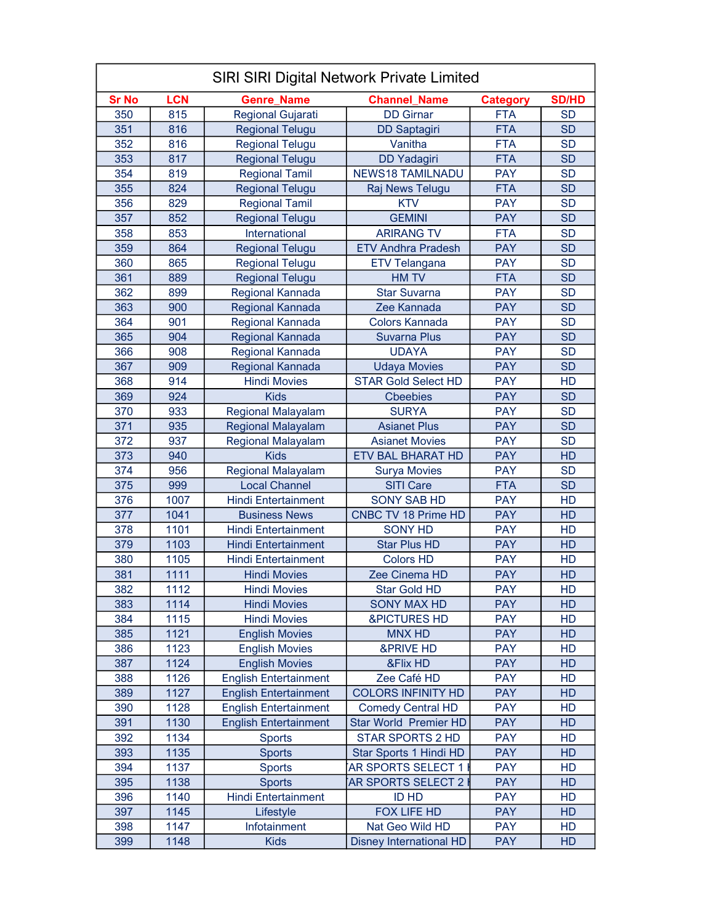| <b>SIRI SIRI Digital Network Private Limited</b> |            |                              |                                |                 |              |
|--------------------------------------------------|------------|------------------------------|--------------------------------|-----------------|--------------|
| <b>Sr No</b>                                     | <b>LCN</b> | <b>Genre Name</b>            | <b>Channel Name</b>            | <b>Category</b> | <b>SD/HD</b> |
| 350                                              | 815        | Regional Gujarati            | <b>DD</b> Girnar               | <b>FTA</b>      | <b>SD</b>    |
| 351                                              | 816        | <b>Regional Telugu</b>       | <b>DD Saptagiri</b>            | <b>FTA</b>      | <b>SD</b>    |
| 352                                              | 816        | <b>Regional Telugu</b>       | Vanitha                        | <b>FTA</b>      | <b>SD</b>    |
| 353                                              | 817        | <b>Regional Telugu</b>       | <b>DD Yadagiri</b>             | <b>FTA</b>      | <b>SD</b>    |
| 354                                              | 819        | <b>Regional Tamil</b>        | <b>NEWS18 TAMILNADU</b>        | <b>PAY</b>      | <b>SD</b>    |
| 355                                              | 824        | <b>Regional Telugu</b>       | Raj News Telugu                | <b>FTA</b>      | <b>SD</b>    |
| 356                                              | 829        | <b>Regional Tamil</b>        | <b>KTV</b>                     | <b>PAY</b>      | <b>SD</b>    |
| 357                                              | 852        | <b>Regional Telugu</b>       | <b>GEMINI</b>                  | <b>PAY</b>      | <b>SD</b>    |
| 358                                              | 853        | International                | <b>ARIRANG TV</b>              | <b>FTA</b>      | <b>SD</b>    |
| 359                                              | 864        | <b>Regional Telugu</b>       | <b>ETV Andhra Pradesh</b>      | <b>PAY</b>      | <b>SD</b>    |
| 360                                              | 865        | <b>Regional Telugu</b>       | <b>ETV Telangana</b>           | <b>PAY</b>      | <b>SD</b>    |
| 361                                              | 889        | <b>Regional Telugu</b>       | <b>HM TV</b>                   | <b>FTA</b>      | <b>SD</b>    |
| 362                                              | 899        | Regional Kannada             | <b>Star Suvarna</b>            | <b>PAY</b>      | <b>SD</b>    |
| 363                                              | 900        | Regional Kannada             | Zee Kannada                    | <b>PAY</b>      | <b>SD</b>    |
| 364                                              | 901        | Regional Kannada             | Colors Kannada                 | <b>PAY</b>      | <b>SD</b>    |
| 365                                              | 904        | Regional Kannada             | <b>Suvarna Plus</b>            | <b>PAY</b>      | <b>SD</b>    |
| 366                                              | 908        | Regional Kannada             | <b>UDAYA</b>                   | <b>PAY</b>      | <b>SD</b>    |
| 367                                              | 909        | Regional Kannada             | <b>Udaya Movies</b>            | <b>PAY</b>      | <b>SD</b>    |
| 368                                              | 914        | <b>Hindi Movies</b>          | <b>STAR Gold Select HD</b>     | <b>PAY</b>      | HD           |
| 369                                              | 924        | <b>Kids</b>                  | <b>Cheebies</b>                | <b>PAY</b>      | <b>SD</b>    |
| 370                                              | 933        | <b>Regional Malayalam</b>    | <b>SURYA</b>                   | <b>PAY</b>      | <b>SD</b>    |
| 371                                              | 935        | <b>Regional Malayalam</b>    | <b>Asianet Plus</b>            | <b>PAY</b>      | <b>SD</b>    |
| 372                                              | 937        | <b>Regional Malayalam</b>    | <b>Asianet Movies</b>          | <b>PAY</b>      | <b>SD</b>    |
| 373                                              | 940        | <b>Kids</b>                  | <b>ETV BAL BHARAT HD</b>       | <b>PAY</b>      | HD           |
| 374                                              | 956        | <b>Regional Malayalam</b>    | <b>Surya Movies</b>            | <b>PAY</b>      | <b>SD</b>    |
| 375                                              | 999        | <b>Local Channel</b>         | <b>SITI Care</b>               | <b>FTA</b>      | <b>SD</b>    |
| 376                                              | 1007       | <b>Hindi Entertainment</b>   | <b>SONY SAB HD</b>             | <b>PAY</b>      | HD           |
| 377                                              | 1041       | <b>Business News</b>         | <b>CNBC TV 18 Prime HD</b>     | <b>PAY</b>      | HD           |
| 378                                              | 1101       | <b>Hindi Entertainment</b>   | <b>SONY HD</b>                 | <b>PAY</b>      | HD           |
| 379                                              | 1103       | <b>Hindi Entertainment</b>   | <b>Star Plus HD</b>            | <b>PAY</b>      | HD           |
| 380                                              | 1105       | <b>Hindi Entertainment</b>   | <b>Colors HD</b>               | <b>PAY</b>      | HD           |
| 381                                              | 1111       | <b>Hindi Movies</b>          | Zee Cinema HD                  | <b>PAY</b>      | HD           |
| 382                                              | 1112       | <b>Hindi Movies</b>          | Star Gold HD                   | <b>PAY</b>      | HD           |
| 383                                              | 1114       | <b>Hindi Movies</b>          | <b>SONY MAX HD</b>             | <b>PAY</b>      | HD           |
| 384                                              | 1115       | <b>Hindi Movies</b>          | <b>&amp;PICTURES HD</b>        | <b>PAY</b>      | HD           |
| 385                                              | 1121       | <b>English Movies</b>        | <b>MNX HD</b>                  | <b>PAY</b>      | HD           |
| 386                                              | 1123       | <b>English Movies</b>        | <b>&amp;PRIVE HD</b>           | <b>PAY</b>      | HD           |
| 387                                              | 1124       | <b>English Movies</b>        | &Flix HD                       | <b>PAY</b>      | HD           |
| 388                                              | 1126       | <b>English Entertainment</b> | Zee Café HD                    | <b>PAY</b>      | HD           |
| 389                                              | 1127       | <b>English Entertainment</b> | <b>COLORS INFINITY HD</b>      | <b>PAY</b>      | HD           |
| 390                                              | 1128       | <b>English Entertainment</b> | <b>Comedy Central HD</b>       | <b>PAY</b>      | HD           |
| 391                                              | 1130       | <b>English Entertainment</b> | <b>Star World Premier HD</b>   | <b>PAY</b>      | HD           |
| 392                                              | 1134       | <b>Sports</b>                | <b>STAR SPORTS 2 HD</b>        | <b>PAY</b>      | HD           |
| 393                                              | 1135       | <b>Sports</b>                | Star Sports 1 Hindi HD         | <b>PAY</b>      | HD           |
| 394                                              | 1137       | <b>Sports</b>                | AR SPORTS SELECT 1             | <b>PAY</b>      | HD           |
| 395                                              | 1138       | <b>Sports</b>                | AR SPORTS SELECT 2             | <b>PAY</b>      | HD           |
| 396                                              | 1140       | <b>Hindi Entertainment</b>   | <b>ID HD</b>                   | <b>PAY</b>      | HD           |
| 397                                              | 1145       | Lifestyle                    | FOX LIFE HD                    | <b>PAY</b>      | HD           |
| 398                                              | 1147       | Infotainment                 | Nat Geo Wild HD                | <b>PAY</b>      | HD           |
| 399                                              | 1148       | <b>Kids</b>                  | <b>Disney International HD</b> | <b>PAY</b>      | HD.          |